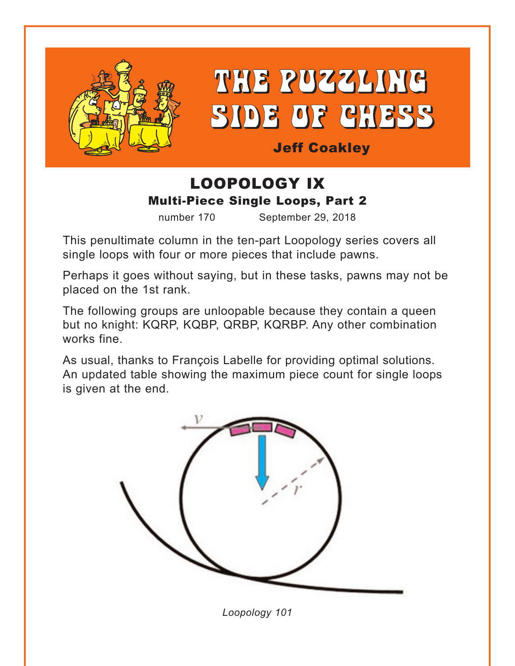

THE PUZZLING SIDE OF CHESS

Jeff Coakley

# LOOPOLOGY IX Multi-Piece Single Loops, Part 2

number 170 September 29, 2018

This penultimate column in the ten-part Loopology series covers all single loops with four or more pieces that include pawns.

Perhaps it goes without saying, but in these tasks, pawns may not be placed on the 1st rank.

The following groups are unloopable because they contain a queen but no knight: KQRP, KQBP, QRBP, KQRBP. Any other combination works fine.

As usual, thanks to François Labelle for providing optimal solutions. An updated table showing the maximum piece count for single loops is given at the end.



*Loopology 101*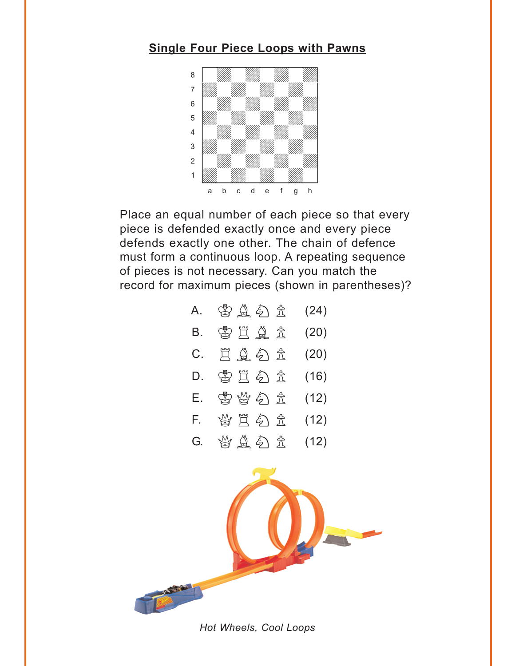#### <span id="page-1-0"></span>**[Single Four Piece Loops with Pawns](#page-4-0)**



Place an equal number of each piece so that every piece is defended exactly once and every piece defends exactly one other. The chain of defence must form a continuous loop. A repeating sequence of pieces is not necessary. Can you match the record for maximum pieces (shown in parentheses)?

| A. | 皆直勾立        | (24) |
|----|-------------|------|
| Β. | 当兰鱼主        | (20) |
| C. | <b>EAD±</b> | (20) |
| D. | 当兰名主        | (16) |
| Е. | 当当分主        | (12) |
| F. | 当旦匀立        | (12) |
| G. | 当皇夕立        | (12) |



*Hot Wheels, Cool Loops*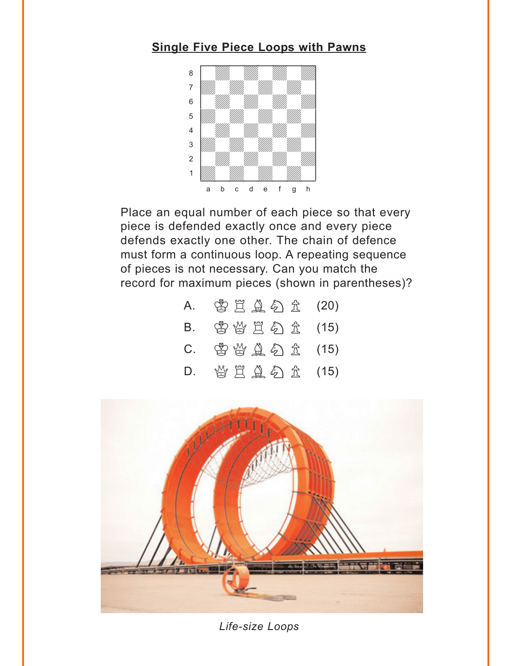#### <span id="page-2-0"></span>**[Single Five Piece Loops with Pawns](#page-8-0)**



Place an equal number of each piece so that every piece is defended exactly once and every piece defends exactly one other. The chain of defence must form a continuous loop. A repeating sequence of pieces is not necessary. Can you match the record for maximum pieces (shown in parentheses)?

| A.      | 当日鱼分立(20)      |  |
|---------|----------------|--|
| B.      | 曾曾買勾立(15)      |  |
| $C_{1}$ | 曾曾皇公立 (15)     |  |
| D.      | 曾 買 鱼 勾 金 (15) |  |



*Life-size Loops*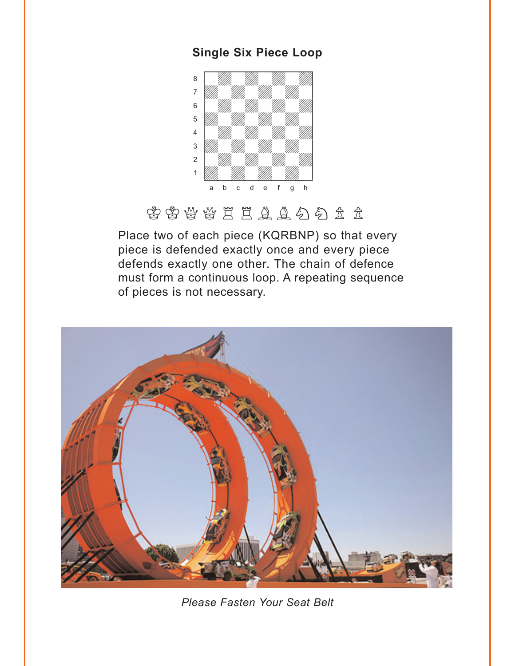#### **[Single Six Piece Loop](#page-10-0)**

<span id="page-3-0"></span>

# KKQQRRBBNNPP

Place two of each piece (KQRBNP) so that every piece is defended exactly once and every piece defends exactly one other. The chain of defence must form a continuous loop. A repeating sequence of pieces is not necessary.



*Please Fasten Your Seat Belt*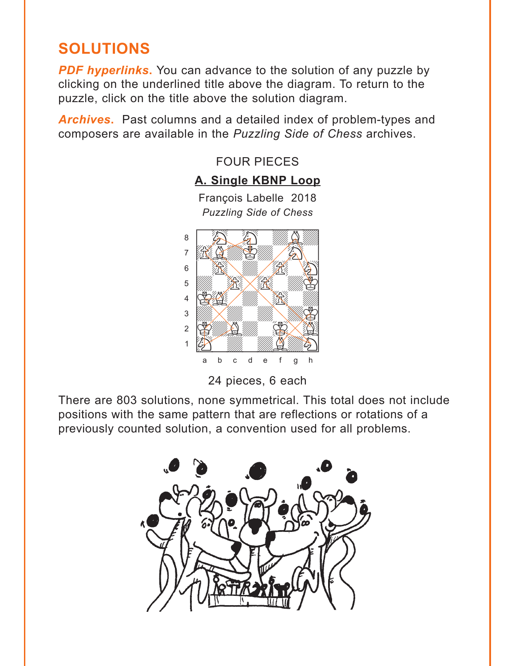# <span id="page-4-0"></span>**SOLUTIONS**

**PDF hyperlinks.** You can advance to the solution of any puzzle by clicking on the underlined title above the diagram. To return to the puzzle, click on the title above the solution diagram.

*Archives***.** Past columns and a detailed index of problem-types and composers are available in the *Puzzling Side of Chess* archives.



**[A. Single KBNP](#page-1-0) Loop** François Labelle 2018

FOUR PIECES

*Puzzling Side of Chess*

24 pieces, 6 each

There are 803 solutions, none symmetrical. This total does not include positions with the same pattern that are reflections or rotations of a previously counted solution, a convention used for all problems.

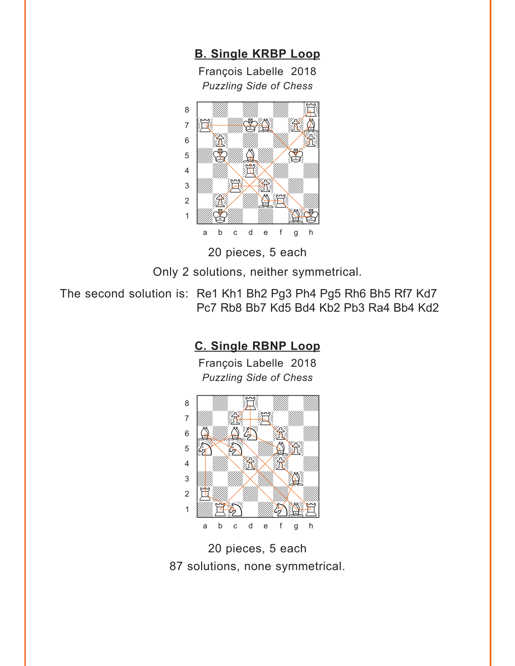**[B. Single KRBP](#page-1-0) Loop**

François Labelle 2018 *Puzzling Side of Chess* w\_\_\_\_\_\_\_\_w



20 pieces, 5 each

Only 2 solutions, neither symmetrical.

The second solution is: Re1 Kh1 Bh2 Pg3 Ph4 Pg5 Rh6 Bh5 Rf7 Kd7 Pc7 Rb8 Bb7 Kd5 Bd4 Kb2 Pb3 Ra4 Bb4 Kd2

#### **[C. Single RBNP](#page-1-0) Loop**

François Labelle 2018 *Puzzling Side of Chess*



20 pieces, 5 each 87 solutions, none symmetrical.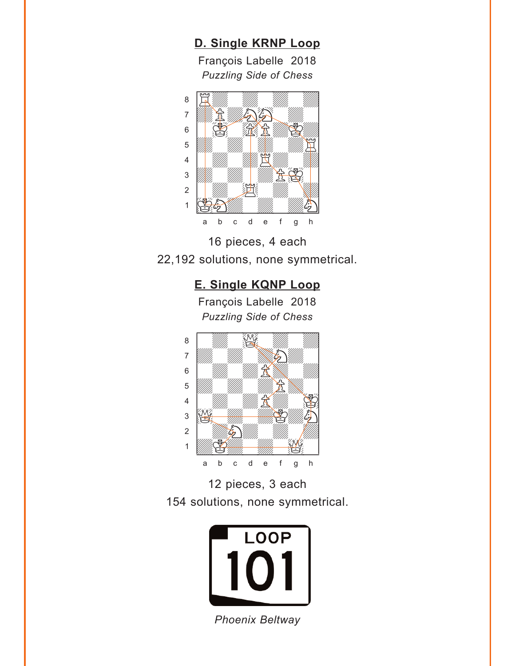### **[D. Single KRNP](#page-1-0) Loop**

François Labelle 2018 *Puzzling Side of Chess* w\_\_\_\_\_\_\_\_w





#### **[E. Single KQNP](#page-1-0) Loop**

François Labelle 2018 *Puzzling Side of Chess* w\_\_\_\_\_\_\_\_w







*Phoenix Beltway*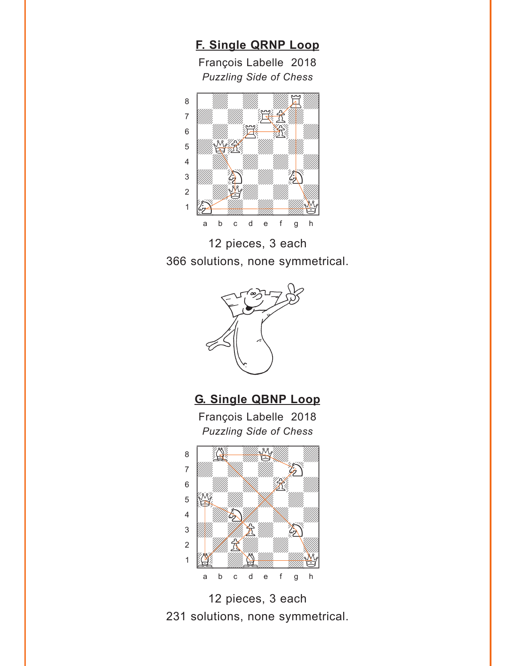### **[F. Single QRNP](#page-1-0) Loop**

François Labelle 2018 *Puzzling Side of Chess* w\_\_\_\_\_\_\_\_w



12 pieces, 3 each 366 solutions, none symmetrical.



**[G. Single QBNP](#page-1-0) Loop**

François Labelle 2018



12 pieces, 3 each 231 solutions, none symmetrical.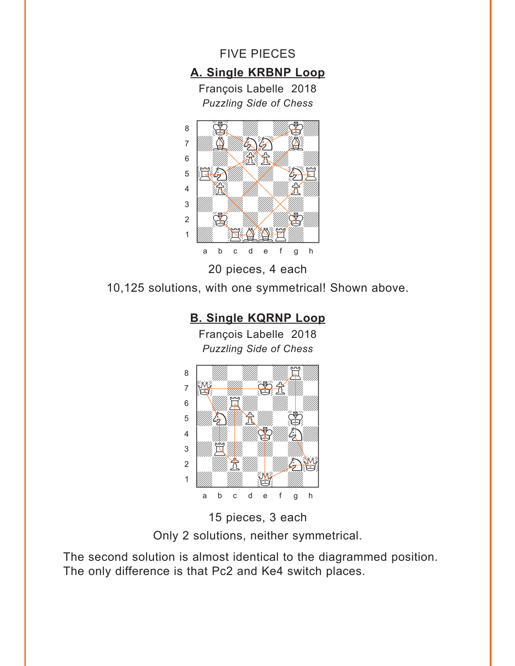<span id="page-8-0"></span>



20 pieces, 4 each

10,125 solutions, with one symmetrical! Shown above.

#### **[B. Single KQRNP](#page-2-0) Loop**

François Labelle 2018 *Puzzling Side of Chess* w\_\_\_\_\_\_\_\_w



15 pieces, 3 each

Only 2 solutions, neither symmetrical.

The second solution is almost identical to the diagrammed position. The only difference is that Pc2 and Ke4 switch places.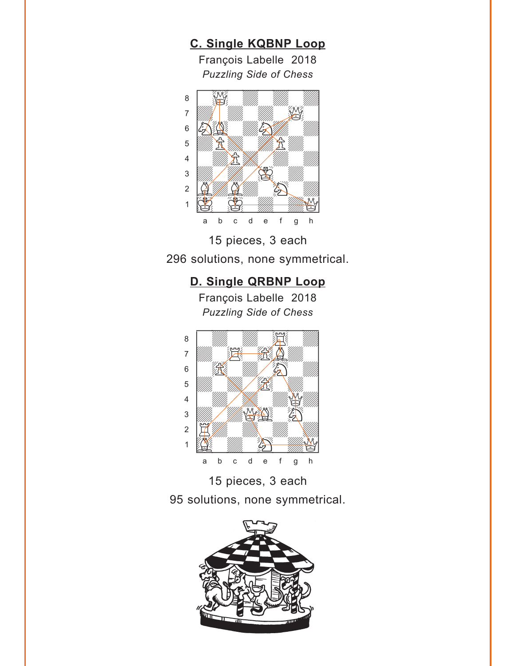**[C. Single KQBNP](#page-2-0) Loop** François Labelle 2018 *Puzzling Side of Chess* w\_\_\_\_\_\_\_\_w  $\begin{bmatrix} 8 & 1 \ 1 & 1 \end{bmatrix}$ 





## **[D. Single QRBNP](#page-2-0) Loop**

François Labelle 2018 *Puzzling Side of Chess*





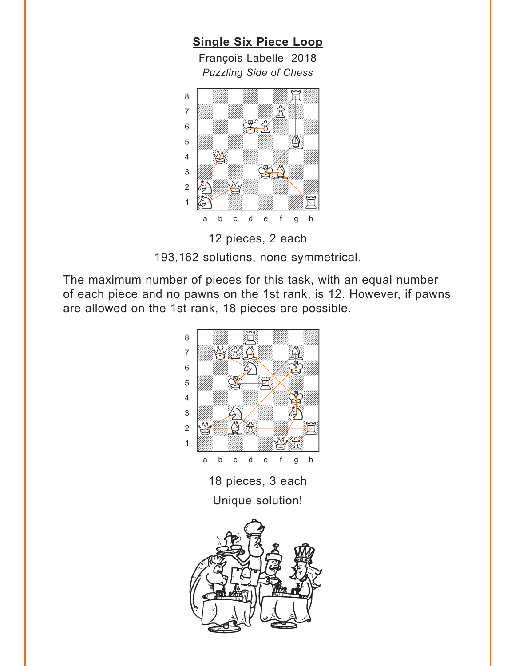<span id="page-10-0"></span>**[Single Six Piece Loop](#page-3-0)** François Labelle 2018 *Puzzling Side of Chess* w\_\_\_\_\_\_\_\_w áwdwdwdRd] 7 *William William Holling Holling 2006*  $6 \begin{array}{|l} \hline \end{array}$ 





193,162 solutions, none symmetrical.

The maximum number of pieces for this task, with an equal number of each piece and no pawns on the 1st rank, is 12. However, if pawns are allowed on the 1st rank, 18 pieces are possible.